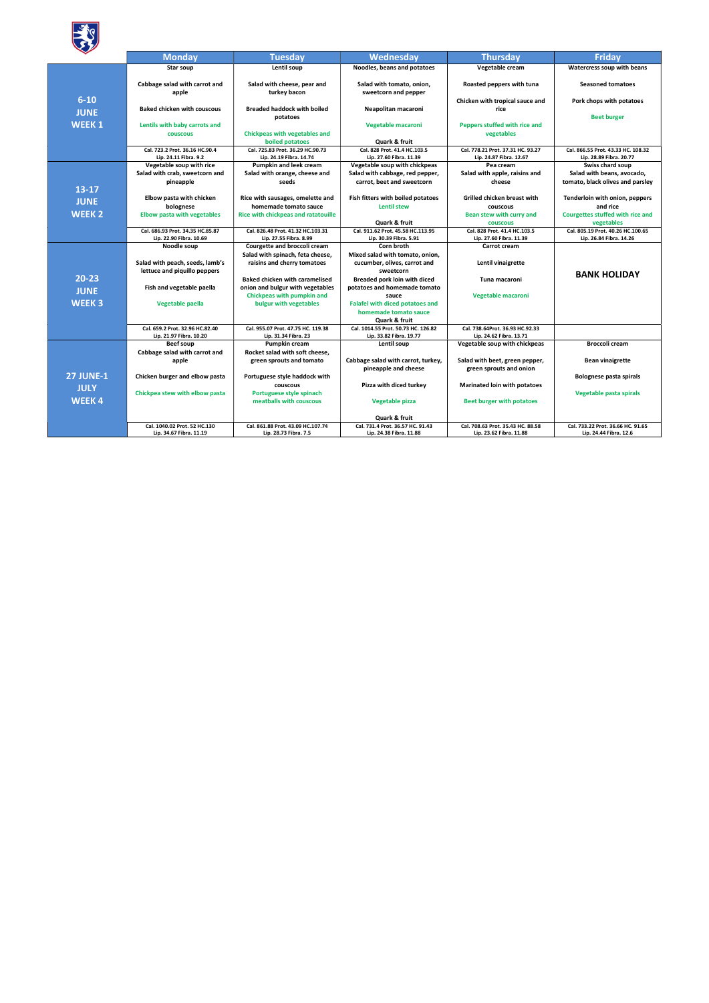

|                  | <b>Monday</b>                                               | <b>Tuesday</b>                                              | Wednesday                                                   | <b>Thursday</b>                                              | <b>Friday</b>                                                 |  |  |  |
|------------------|-------------------------------------------------------------|-------------------------------------------------------------|-------------------------------------------------------------|--------------------------------------------------------------|---------------------------------------------------------------|--|--|--|
|                  | Star soup                                                   | Lentil soup                                                 | Noodles, beans and potatoes                                 | Vegetable cream                                              | Watercress soup with beans                                    |  |  |  |
|                  |                                                             |                                                             |                                                             |                                                              |                                                               |  |  |  |
|                  | Cabbage salad with carrot and                               | Salad with cheese, pear and                                 | Salad with tomato, onion,<br>sweetcorn and pepper           | Roasted peppers with tuna                                    | <b>Seasoned tomatoes</b>                                      |  |  |  |
| $6 - 10$         | apple                                                       | turkey bacon                                                |                                                             | Chicken with tropical sauce and                              | Pork chops with potatoes                                      |  |  |  |
|                  | <b>Baked chicken with couscous</b>                          | <b>Breaded haddock with boiled</b>                          | Neapolitan macaroni                                         | rice                                                         |                                                               |  |  |  |
| <b>JUNE</b>      |                                                             | potatoes                                                    |                                                             |                                                              | <b>Beet burger</b>                                            |  |  |  |
| <b>WEEK1</b>     | Lentils with baby carrots and                               |                                                             | Vegetable macaroni                                          | Peppers stuffed with rice and                                |                                                               |  |  |  |
|                  | <b>COUSCOUS</b>                                             | <b>Chickpeas with vegetables and</b>                        |                                                             | vegetables                                                   |                                                               |  |  |  |
|                  |                                                             | boiled potatoes                                             | Quark & fruit                                               |                                                              |                                                               |  |  |  |
|                  | Cal. 723.2 Prot. 36.16 HC.90.4<br>Lip. 24.11 Fibra. 9.2     | Cal. 725.83 Prot. 36.29 HC.90.73<br>Lip. 24.19 Fibra. 14.74 | Cal. 828 Prot. 41.4 HC.103.5<br>Lip. 27.60 Fibra. 11.39     | Cal. 778.21 Prot. 37.31 HC. 93.27<br>Lip. 24.87 Fibra. 12.67 | Cal. 866.55 Prot. 43.33 HC. 108.32<br>Lip. 28.89 Fibra. 20.77 |  |  |  |
|                  | Vegetable soup with rice                                    | <b>Pumpkin and leek cream</b>                               | Vegetable soup with chickpeas                               | Pea cream                                                    | Swiss chard soup                                              |  |  |  |
|                  | Salad with crab, sweetcorn and                              | Salad with orange, cheese and                               | Salad with cabbage, red pepper,                             | Salad with apple, raisins and                                | Salad with beans, avocado,                                    |  |  |  |
|                  | pineapple                                                   | seeds                                                       | carrot, beet and sweetcorn                                  | cheese                                                       | tomato, black olives and parsley                              |  |  |  |
| $13 - 17$        |                                                             |                                                             |                                                             |                                                              |                                                               |  |  |  |
| <b>JUNE</b>      | Elbow pasta with chicken                                    | Rice with sausages, omelette and                            | Fish fitters with boiled potatoes                           | <b>Grilled chicken breast with</b>                           | Tenderloin with onion, peppers                                |  |  |  |
|                  | bolognese                                                   | homemade tomato sauce                                       | <b>Lentil stew</b>                                          | couscous                                                     | and rice                                                      |  |  |  |
| <b>WEEK 2</b>    | <b>Elbow pasta with vegetables</b>                          | Rice with chickpeas and ratatouille                         |                                                             | Bean stew with curry and                                     | Courgettes stuffed with rice and                              |  |  |  |
|                  |                                                             |                                                             | <b>Quark &amp; fruit</b>                                    | <b>couscous</b>                                              | vegetables                                                    |  |  |  |
|                  | Cal. 686.93 Prot. 34.35 HC.85.87<br>Lip. 22.90 Fibra. 10.69 | Cal. 826.48 Prot. 41.32 HC.103.31<br>Lip. 27.55 Fibra. 8.99 | Cal. 911.62 Prot. 45.58 HC.113.95<br>Lip. 30.39 Fibra. 5.91 | Cal. 828 Prot. 41.4 HC.103.5<br>Lip. 27.60 Fibra. 11.39      | Cal. 805.19 Prot. 40.26 HC.100.65<br>Lip. 26.84 Fibra. 14.26  |  |  |  |
|                  | Noodle soup                                                 | Courgette and broccoli cream                                | Corn broth                                                  | Carrot cream                                                 |                                                               |  |  |  |
|                  |                                                             | Salad with spinach, feta cheese,                            | Mixed salad with tomato, onion,                             |                                                              |                                                               |  |  |  |
|                  | Salad with peach, seeds, lamb's                             | raisins and cherry tomatoes                                 | cucumber, olives, carrot and                                | Lentil vinaigrette                                           |                                                               |  |  |  |
|                  | lettuce and piquillo peppers                                |                                                             | sweetcorn                                                   |                                                              | <b>BANK HOLIDAY</b>                                           |  |  |  |
| 20-23            |                                                             | <b>Baked chicken with caramelised</b>                       | Breaded pork loin with diced                                | Tuna macaroni                                                |                                                               |  |  |  |
| <b>JUNE</b>      | Fish and vegetable paella                                   | onion and bulgur with vegetables                            | potatoes and homemade tomato                                |                                                              |                                                               |  |  |  |
|                  |                                                             | Chickpeas with pumpkin and                                  | sauce                                                       | Vegetable macaroni                                           |                                                               |  |  |  |
| <b>WEEK3</b>     | Vegetable paella                                            | bulgur with vegetables                                      | <b>Falafel with diced potatoes and</b>                      |                                                              |                                                               |  |  |  |
|                  |                                                             |                                                             | homemade tomato sauce                                       |                                                              |                                                               |  |  |  |
|                  | Cal. 659.2 Prot. 32.96 HC.82.40                             | Cal. 955.07 Prot. 47.75 HC. 119.38                          | Quark & fruit<br>Cal. 1014.55 Prot. 50.73 HC. 126.82        | Cal. 738.64Prot. 36.93 HC.92.33                              |                                                               |  |  |  |
|                  | Lip. 21.97 Fibra. 10.20                                     | Lip. 31.34 Fibra. 23                                        | Lip. 33.82 Fibra. 19.77                                     | Lip. 24.62 Fibra. 13.71                                      |                                                               |  |  |  |
|                  | Beef soup                                                   | Pumpkin cream                                               | Lentil soup                                                 | Vegetable soup with chickpeas                                | <b>Broccoli cream</b>                                         |  |  |  |
|                  | Cabbage salad with carrot and                               | Rocket salad with soft cheese,                              |                                                             |                                                              |                                                               |  |  |  |
|                  | apple                                                       | green sprouts and tomato                                    | Cabbage salad with carrot, turkey,                          | Salad with beet, green pepper,                               | <b>Bean vinaigrette</b>                                       |  |  |  |
|                  |                                                             |                                                             | pineapple and cheese                                        | green sprouts and onion                                      |                                                               |  |  |  |
| <b>27 JUNE-1</b> | Chicken burger and elbow pasta                              | Portuguese style haddock with                               |                                                             |                                                              | Bolognese pasta spirals                                       |  |  |  |
| <b>JULY</b>      |                                                             | couscous                                                    | Pizza with diced turkey                                     | <b>Marinated loin with potatoes</b>                          |                                                               |  |  |  |
| <b>WEEK4</b>     | Chickpea stew with elbow pasta                              | Portuguese style spinach                                    |                                                             |                                                              | Vegetable pasta spirals                                       |  |  |  |
|                  |                                                             | meatballs with couscous                                     | Vegetable pizza                                             | <b>Beet burger with potatoes</b>                             |                                                               |  |  |  |
|                  |                                                             |                                                             | Quark & fruit                                               |                                                              |                                                               |  |  |  |
|                  | Cal. 1040.02 Prot. 52 HC.130                                | Cal. 861.88 Prot. 43.09 HC.107.74                           | Cal. 731.4 Prot. 36.57 HC. 91.43                            | Cal. 708.63 Prot. 35.43 HC. 88.58                            | Cal. 733.22 Prot. 36.66 HC. 91.65                             |  |  |  |
|                  | Lip. 34.67 Fibra. 11.19                                     | Lip. 28.73 Fibra. 7.5                                       | Lip. 24.38 Fibra. 11.88                                     | Lip. 23.62 Fibra. 11.88                                      | Lip. 24.44 Fibra. 12.6                                        |  |  |  |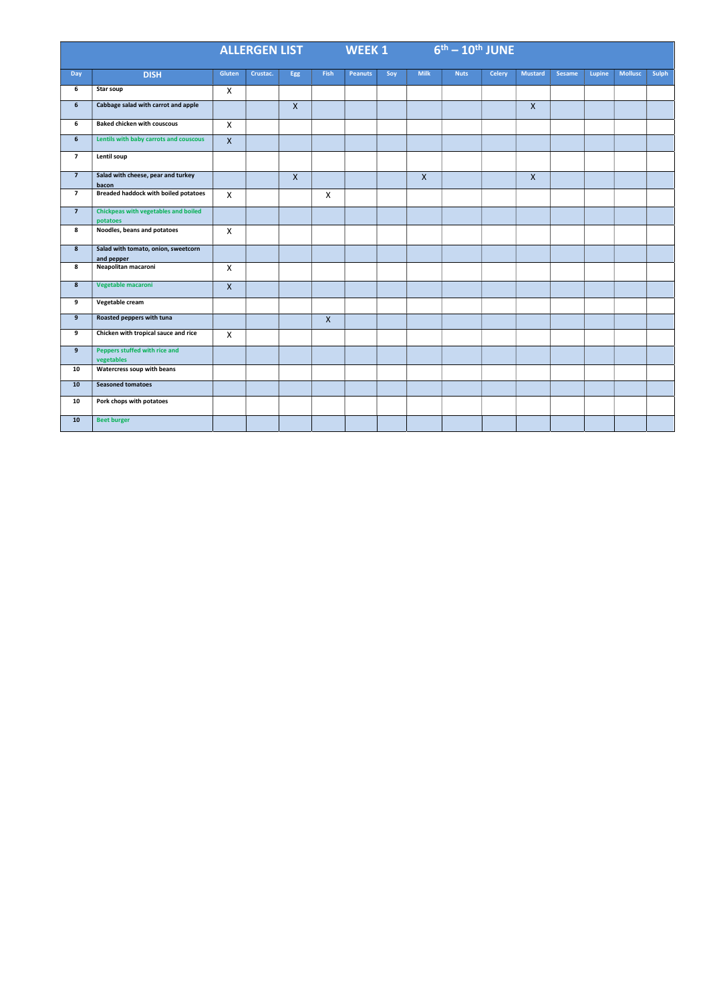|                  | <b>ALLERGEN LIST WARE</b>                         |                    |          |             | $6th - 10th$ JUNE<br>WEEK 1 |                |     |              |             |               |                |               |        |                |              |
|------------------|---------------------------------------------------|--------------------|----------|-------------|-----------------------------|----------------|-----|--------------|-------------|---------------|----------------|---------------|--------|----------------|--------------|
| Day              | <b>DISH</b>                                       | Gluten             | Crustac. | Egg         | <b>Fish</b>                 | <b>Peanuts</b> | Soy | <b>Milk</b>  | <b>Nuts</b> | <b>Celery</b> | <b>Mustard</b> | <b>Sesame</b> | Lupine | <b>Mollusc</b> | <b>Sulph</b> |
| 6                | <b>Star soup</b>                                  | $\pmb{\times}$     |          |             |                             |                |     |              |             |               |                |               |        |                |              |
| 6                | Cabbage salad with carrot and apple               |                    |          | $\mathsf X$ |                             |                |     |              |             |               | $\mathsf{X}$   |               |        |                |              |
| 6                | <b>Baked chicken with couscous</b>                | $\pmb{\times}$     |          |             |                             |                |     |              |             |               |                |               |        |                |              |
| 6 <sup>1</sup>   | Lentils with baby carrots and couscous            | $\mathsf X$        |          |             |                             |                |     |              |             |               |                |               |        |                |              |
| $\overline{7}$   | Lentil soup                                       |                    |          |             |                             |                |     |              |             |               |                |               |        |                |              |
| $\overline{7}$   | Salad with cheese, pear and turkey<br>bacon       |                    |          | $\mathsf X$ |                             |                |     | $\mathsf{X}$ |             |               | $\mathsf{X}$   |               |        |                |              |
| $\overline{7}$   | <b>Breaded haddock with boiled potatoes</b>       | $\mathsf{x}$       |          |             | X                           |                |     |              |             |               |                |               |        |                |              |
| $\overline{7}$   | Chickpeas with vegetables and boiled<br>potatoes  |                    |          |             |                             |                |     |              |             |               |                |               |        |                |              |
| 8                | Noodles, beans and potatoes                       | $\mathsf{x}$       |          |             |                             |                |     |              |             |               |                |               |        |                |              |
| 8 <sup>°</sup>   | Salad with tomato, onion, sweetcorn<br>and pepper |                    |          |             |                             |                |     |              |             |               |                |               |        |                |              |
| 8                | Neapolitan macaroni                               | $\pmb{\times}$     |          |             |                             |                |     |              |             |               |                |               |        |                |              |
| $\boldsymbol{8}$ | Vegetable macaroni                                | $\pmb{\mathsf{X}}$ |          |             |                             |                |     |              |             |               |                |               |        |                |              |
| 9                | Vegetable cream                                   |                    |          |             |                             |                |     |              |             |               |                |               |        |                |              |
| 9                | Roasted peppers with tuna                         |                    |          |             | X                           |                |     |              |             |               |                |               |        |                |              |
| 9                | Chicken with tropical sauce and rice              | $\pmb{\times}$     |          |             |                             |                |     |              |             |               |                |               |        |                |              |
| 9 <sup>°</sup>   | Peppers stuffed with rice and<br>vegetables       |                    |          |             |                             |                |     |              |             |               |                |               |        |                |              |
| 10               | Watercress soup with beans                        |                    |          |             |                             |                |     |              |             |               |                |               |        |                |              |
| ${\bf 10}$       | <b>Seasoned tomatoes</b>                          |                    |          |             |                             |                |     |              |             |               |                |               |        |                |              |
| 10               | Pork chops with potatoes                          |                    |          |             |                             |                |     |              |             |               |                |               |        |                |              |
| 10               | <b>Beet burger</b>                                |                    |          |             |                             |                |     |              |             |               |                |               |        |                |              |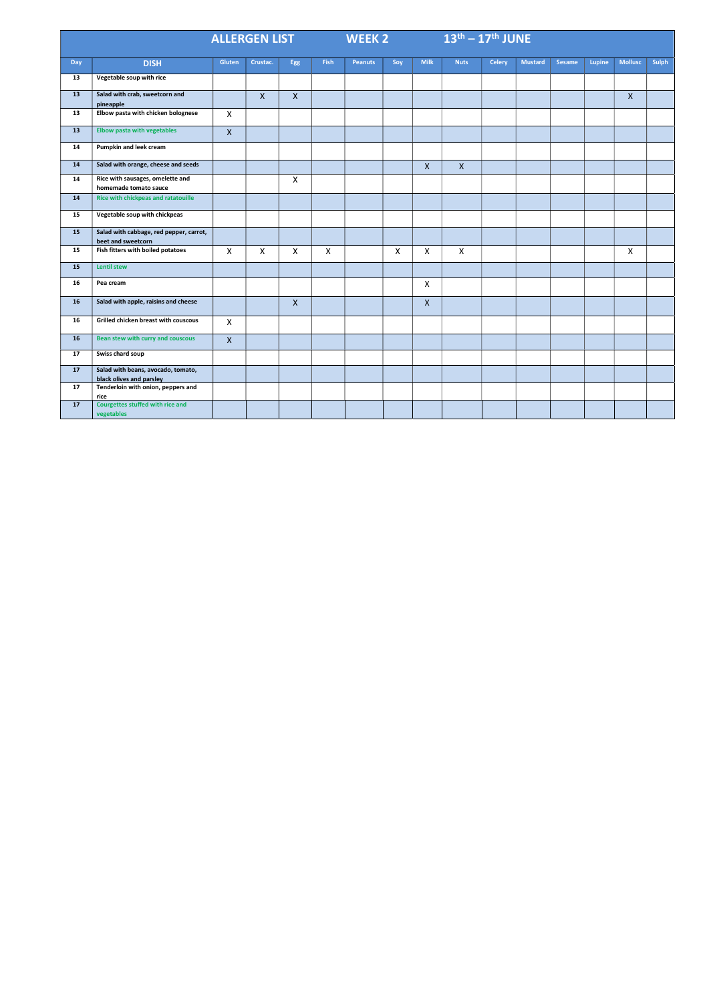|            |                                                                | <b>ALLERGEN LIST THE REAL PROPERTY</b> |              |              |              | <b>WEEK 2</b>  |              |              | $13th - 17th$ JUNE |               |                |               |        |                |              |
|------------|----------------------------------------------------------------|----------------------------------------|--------------|--------------|--------------|----------------|--------------|--------------|--------------------|---------------|----------------|---------------|--------|----------------|--------------|
| <b>Day</b> | <b>DISH</b>                                                    | Gluten                                 | Crustac.     | Egg          | <b>Fish</b>  | <b>Peanuts</b> | Soy          | <b>Milk</b>  | <b>Nuts</b>        | <b>Celery</b> | <b>Mustard</b> | <b>Sesame</b> | Lupine | <b>Mollusc</b> | <b>Sulph</b> |
| 13         | Vegetable soup with rice                                       |                                        |              |              |              |                |              |              |                    |               |                |               |        |                |              |
| 13         | Salad with crab, sweetcorn and<br>pineapple                    |                                        | $\mathsf{X}$ | $\mathsf{X}$ |              |                |              |              |                    |               |                |               |        | $\mathsf{X}$   |              |
| 13         | Elbow pasta with chicken bolognese                             | $\pmb{\times}$                         |              |              |              |                |              |              |                    |               |                |               |        |                |              |
| 13         | <b>Elbow pasta with vegetables</b>                             | $\mathsf{X}$                           |              |              |              |                |              |              |                    |               |                |               |        |                |              |
| 14         | Pumpkin and leek cream                                         |                                        |              |              |              |                |              |              |                    |               |                |               |        |                |              |
| 14         | Salad with orange, cheese and seeds                            |                                        |              |              |              |                |              | $\mathsf{X}$ | $\mathsf{X}$       |               |                |               |        |                |              |
| 14         | Rice with sausages, omelette and<br>homemade tomato sauce      |                                        |              | X            |              |                |              |              |                    |               |                |               |        |                |              |
| 14         | Rice with chickpeas and ratatouille                            |                                        |              |              |              |                |              |              |                    |               |                |               |        |                |              |
| 15         | Vegetable soup with chickpeas                                  |                                        |              |              |              |                |              |              |                    |               |                |               |        |                |              |
| 15         | Salad with cabbage, red pepper, carrot,<br>beet and sweetcorn  |                                        |              |              |              |                |              |              |                    |               |                |               |        |                |              |
| 15         | Fish fitters with boiled potatoes                              | $\mathsf{X}$                           | $\mathsf{X}$ | $\mathsf{X}$ | $\mathsf{X}$ |                | $\mathsf{X}$ | $\mathsf{X}$ | $\mathsf{X}$       |               |                |               |        | $\mathsf{X}$   |              |
| 15         | <b>Lentil stew</b>                                             |                                        |              |              |              |                |              |              |                    |               |                |               |        |                |              |
| 16         | Pea cream                                                      |                                        |              |              |              |                |              | $\mathsf{X}$ |                    |               |                |               |        |                |              |
| 16         | Salad with apple, raisins and cheese                           |                                        |              | $\mathsf{X}$ |              |                |              | $\mathsf{X}$ |                    |               |                |               |        |                |              |
| 16         | Grilled chicken breast with couscous                           | $\mathsf{X}$                           |              |              |              |                |              |              |                    |               |                |               |        |                |              |
| 16         | Bean stew with curry and couscous                              | $\boldsymbol{\mathsf{X}}$              |              |              |              |                |              |              |                    |               |                |               |        |                |              |
| 17         | Swiss chard soup                                               |                                        |              |              |              |                |              |              |                    |               |                |               |        |                |              |
| 17         | Salad with beans, avocado, tomato,<br>black olives and parsley |                                        |              |              |              |                |              |              |                    |               |                |               |        |                |              |
| 17         | Tenderloin with onion, peppers and<br>rice                     |                                        |              |              |              |                |              |              |                    |               |                |               |        |                |              |
| 17         | Courgettes stuffed with rice and<br>vegetables                 |                                        |              |              |              |                |              |              |                    |               |                |               |        |                |              |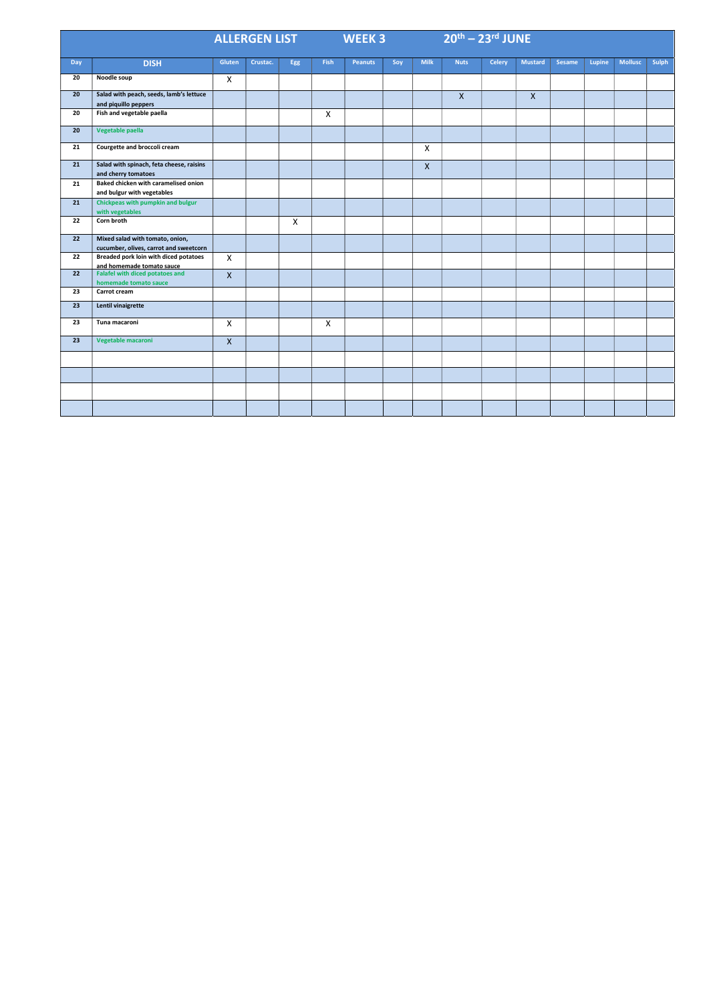|            |                                                                           | <b>ALLERGEN LIST THE</b>  |          |              |              | WEEK 3         |     |                           | $20th - 23rd$ JUNE |               |                |        |        |                |              |
|------------|---------------------------------------------------------------------------|---------------------------|----------|--------------|--------------|----------------|-----|---------------------------|--------------------|---------------|----------------|--------|--------|----------------|--------------|
| <b>Day</b> | <b>DISH</b>                                                               | Gluten                    | Crustac. | Egg          | Fish         | <b>Peanuts</b> | Soy | <b>Milk</b>               | <b>Nuts</b>        | <b>Celery</b> | <b>Mustard</b> | Sesame | Lupine | <b>Mollusc</b> | <b>Sulph</b> |
| 20         | Noodle soup                                                               | $\mathsf{X}$              |          |              |              |                |     |                           |                    |               |                |        |        |                |              |
| 20         | Salad with peach, seeds, lamb's lettuce<br>and piquillo peppers           |                           |          |              |              |                |     |                           | $\mathsf{X}$       |               | X              |        |        |                |              |
| 20         | Fish and vegetable paella                                                 |                           |          |              | $\mathsf{X}$ |                |     |                           |                    |               |                |        |        |                |              |
| 20         | Vegetable paella                                                          |                           |          |              |              |                |     |                           |                    |               |                |        |        |                |              |
| 21         | Courgette and broccoli cream                                              |                           |          |              |              |                |     | $\boldsymbol{\mathsf{X}}$ |                    |               |                |        |        |                |              |
| 21         | Salad with spinach, feta cheese, raisins<br>and cherry tomatoes           |                           |          |              |              |                |     | $\mathsf{X}$              |                    |               |                |        |        |                |              |
| 21         | Baked chicken with caramelised onion<br>and bulgur with vegetables        |                           |          |              |              |                |     |                           |                    |               |                |        |        |                |              |
| 21         | <b>Chickpeas with pumpkin and bulgur</b><br>with vegetables               |                           |          |              |              |                |     |                           |                    |               |                |        |        |                |              |
| 22         | Corn broth                                                                |                           |          | $\mathsf{X}$ |              |                |     |                           |                    |               |                |        |        |                |              |
| 22         | Mixed salad with tomato, onion,<br>cucumber, olives, carrot and sweetcorn |                           |          |              |              |                |     |                           |                    |               |                |        |        |                |              |
| 22         | <b>Breaded pork loin with diced potatoes</b><br>and homemade tomato sauce | $\mathsf{X}$              |          |              |              |                |     |                           |                    |               |                |        |        |                |              |
| 22         | <b>Falafel with diced potatoes and</b><br>homemade tomato sauce           | $\mathsf{X}$              |          |              |              |                |     |                           |                    |               |                |        |        |                |              |
| 23         | Carrot cream                                                              |                           |          |              |              |                |     |                           |                    |               |                |        |        |                |              |
| 23         | Lentil vinaigrette                                                        |                           |          |              |              |                |     |                           |                    |               |                |        |        |                |              |
| 23         | Tuna macaroni                                                             | $\boldsymbol{\mathsf{X}}$ |          |              | $\mathsf{X}$ |                |     |                           |                    |               |                |        |        |                |              |
| 23         | Vegetable macaroni                                                        | $\mathsf{X}$              |          |              |              |                |     |                           |                    |               |                |        |        |                |              |
|            |                                                                           |                           |          |              |              |                |     |                           |                    |               |                |        |        |                |              |
|            |                                                                           |                           |          |              |              |                |     |                           |                    |               |                |        |        |                |              |
|            |                                                                           |                           |          |              |              |                |     |                           |                    |               |                |        |        |                |              |
|            |                                                                           |                           |          |              |              |                |     |                           |                    |               |                |        |        |                |              |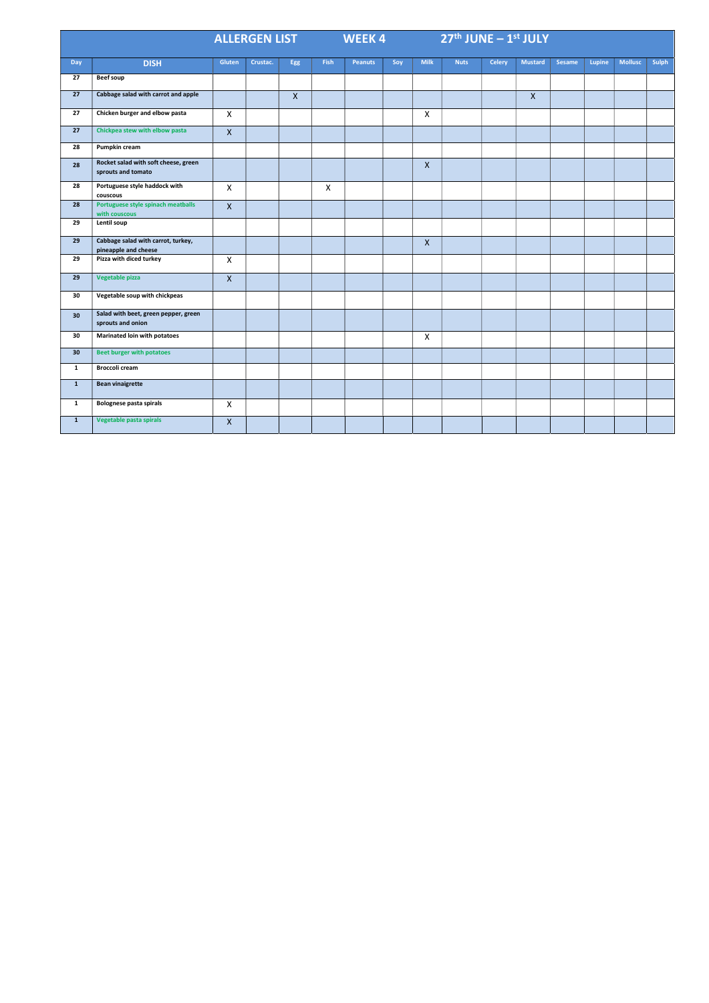|                 |                                                            | <b>ALLERGEN LIST THE</b>  |          |              |              | <b>WEEK4</b>   |     |                           | $27th$ JUNE $-1st$ JULY |               |                |               |        |                |              |
|-----------------|------------------------------------------------------------|---------------------------|----------|--------------|--------------|----------------|-----|---------------------------|-------------------------|---------------|----------------|---------------|--------|----------------|--------------|
| <b>Day</b>      | <b>DISH</b>                                                | Gluten                    | Crustac. | Egg          | <b>Fish</b>  | <b>Peanuts</b> | Soy | <b>Milk</b>               | <b>Nuts</b>             | <b>Celery</b> | <b>Mustard</b> | <b>Sesame</b> | Lupine | <b>Mollusc</b> | <b>Sulph</b> |
| 27              | <b>Beef soup</b>                                           |                           |          |              |              |                |     |                           |                         |               |                |               |        |                |              |
| 27              | Cabbage salad with carrot and apple                        |                           |          | $\mathsf{X}$ |              |                |     |                           |                         |               | $\mathsf{X}$   |               |        |                |              |
| 27              | Chicken burger and elbow pasta                             | $\mathsf{X}$              |          |              |              |                |     | $\pmb{\times}$            |                         |               |                |               |        |                |              |
| 27              | Chickpea stew with elbow pasta                             | $\mathsf{X}$              |          |              |              |                |     |                           |                         |               |                |               |        |                |              |
| 28              | Pumpkin cream                                              |                           |          |              |              |                |     |                           |                         |               |                |               |        |                |              |
| 28              | Rocket salad with soft cheese, green<br>sprouts and tomato |                           |          |              |              |                |     | $\mathsf{X}$              |                         |               |                |               |        |                |              |
| 28              | Portuguese style haddock with<br>couscous                  | $\mathsf{X}$              |          |              | $\mathsf{X}$ |                |     |                           |                         |               |                |               |        |                |              |
| 28              | Portuguese style spinach meatballs<br>with couscous        | $\boldsymbol{\mathsf{X}}$ |          |              |              |                |     |                           |                         |               |                |               |        |                |              |
| 29              | Lentil soup                                                |                           |          |              |              |                |     |                           |                         |               |                |               |        |                |              |
| 29              | Cabbage salad with carrot, turkey,<br>pineapple and cheese |                           |          |              |              |                |     | $\mathsf{X}$              |                         |               |                |               |        |                |              |
| 29              | Pizza with diced turkey                                    | $\mathsf{X}$              |          |              |              |                |     |                           |                         |               |                |               |        |                |              |
| 29              | Vegetable pizza                                            | $\mathsf{X}$              |          |              |              |                |     |                           |                         |               |                |               |        |                |              |
| 30              | Vegetable soup with chickpeas                              |                           |          |              |              |                |     |                           |                         |               |                |               |        |                |              |
| 30              | Salad with beet, green pepper, green<br>sprouts and onion  |                           |          |              |              |                |     |                           |                         |               |                |               |        |                |              |
| 30              | Marinated loin with potatoes                               |                           |          |              |              |                |     | $\boldsymbol{\mathsf{X}}$ |                         |               |                |               |        |                |              |
| 30 <sub>2</sub> | <b>Beet burger with potatoes</b>                           |                           |          |              |              |                |     |                           |                         |               |                |               |        |                |              |
| $\mathbf{1}$    | <b>Broccoli cream</b>                                      |                           |          |              |              |                |     |                           |                         |               |                |               |        |                |              |
| $\mathbf{1}$    | <b>Bean vinaigrette</b>                                    |                           |          |              |              |                |     |                           |                         |               |                |               |        |                |              |
| $\mathbf{1}$    | Bolognese pasta spirals                                    | $\mathsf{X}$              |          |              |              |                |     |                           |                         |               |                |               |        |                |              |
| $\mathbf{1}$    | Vegetable pasta spirals                                    | $\mathsf{X}$              |          |              |              |                |     |                           |                         |               |                |               |        |                |              |